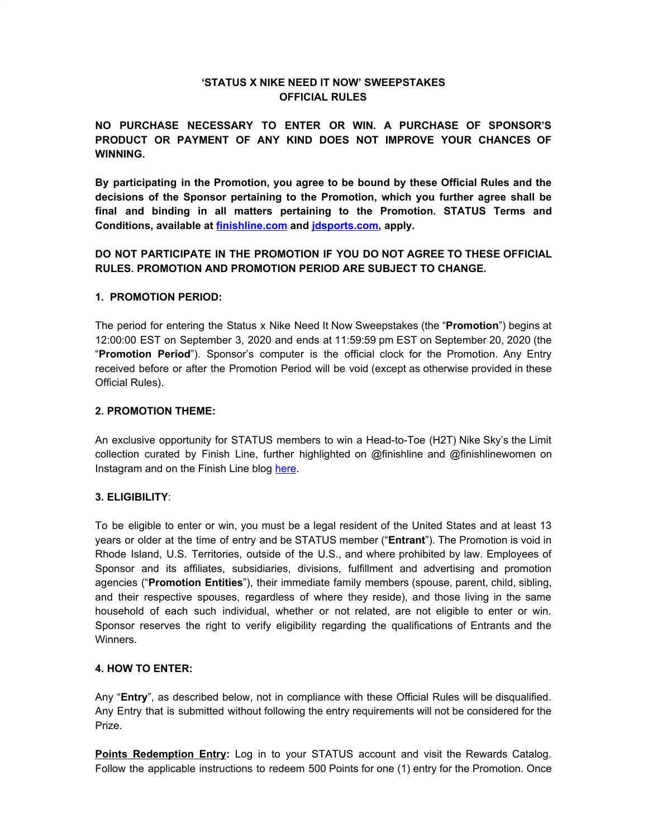# **'STATUS X NIKE NEED IT NOW' SWEEPSTAKES OFFICIAL RULES**

**NO PURCHASE NECESSARY TO ENTER OR WIN. A PURCHASE OF SPONSOR'S PRODUCT OR PAYMENT OF ANY KIND DOES NOT IMPROVE YOUR CHANCES OF WINNING.**

**By participating in the Promotion, you agree to be bound by these Official Rules and the decisions of the Sponsor pertaining to the Promotion, which you further agree shall be final and binding in all matters pertaining to the Promotion. STATUS Terms and Conditions, available at [finishline.com](https://www.finishline.com/status_terms) and [jdsports.com,](https://www.jdsports.com/status_terms) apply.**

# **DO NOT PARTICIPATE IN THE PROMOTION IF YOU DO NOT AGREE TO THESE OFFICIAL RULES. PROMOTION AND PROMOTION PERIOD ARE SUBJECT TO CHANGE.**

# **1. PROMOTION PERIOD:**

The period for entering the Status x Nike Need It Now Sweepstakes (the "**Promotion**") begins at 12:00:00 EST on September 3, 2020 and ends at 11:59:59 pm EST on September 20, 2020 (the "**Promotion Period**"). Sponsor's computer is the official clock for the Promotion. Any Entry received before or after the Promotion Period will be void (except as otherwise provided in these Official Rules).

### **2. PROMOTION THEME:**

An exclusive opportunity for STATUS members to win a Head-to-Toe (H2T) Nike Sky's the Limit collection curated by Finish Line, further highlighted on @finishline and @finishlinewomen on Instagram and on the Finish Line blog [here](https://blog.finishline.com/2020/09/01/nike-need-it-now-skys-the-limit/).

# **3. ELIGIBILITY**:

To be eligible to enter or win, you must be a legal resident of the United States and at least 13 years or older at the time of entry and be STATUS member ("**Entrant**"). The Promotion is void in Rhode Island, U.S. Territories, outside of the U.S., and where prohibited by law. Employees of Sponsor and its affiliates, subsidiaries, divisions, fulfillment and advertising and promotion agencies ("**Promotion Entities**"), their immediate family members (spouse, parent, child, sibling, and their respective spouses, regardless of where they reside), and those living in the same household of each such individual, whether or not related, are not eligible to enter or win. Sponsor reserves the right to verify eligibility regarding the qualifications of Entrants and the Winners.

#### **4. HOW TO ENTER:**

Any "**Entry**", as described below, not in compliance with these Official Rules will be disqualified. Any Entry that is submitted without following the entry requirements will not be considered for the Prize.

**Points Redemption Entry:** Log in to your STATUS account and visit the Rewards Catalog. Follow the applicable instructions to redeem 500 Points for one (1) entry for the Promotion. Once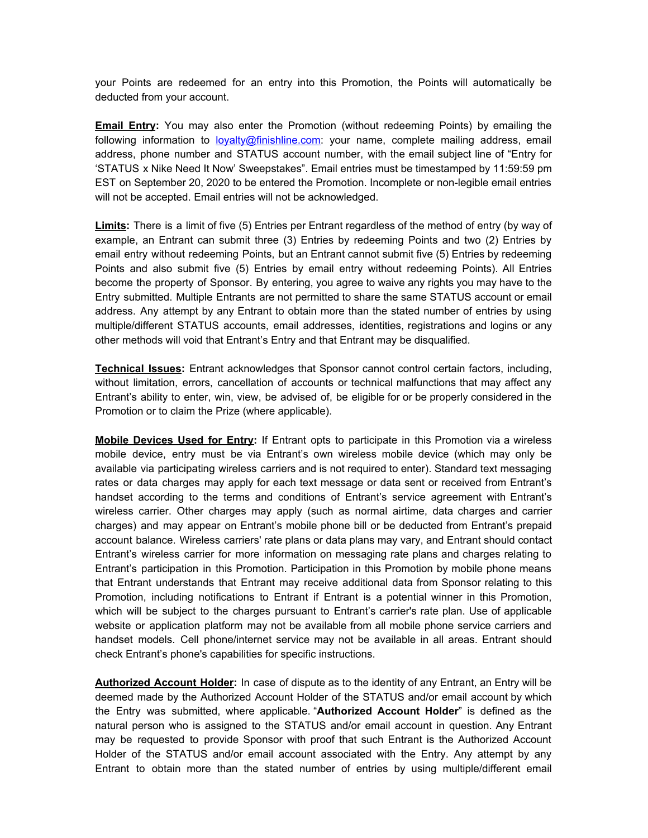your Points are redeemed for an entry into this Promotion, the Points will automatically be deducted from your account.

**Email Entry:** You may also enter the Promotion (without redeeming Points) by emailing the following information to [loyalty@finishline.com](mailto:loyalty@finishline.com): your name, complete mailing address, email address, phone number and STATUS account number, with the email subject line of "Entry for 'STATUS x Nike Need It Now' Sweepstakes". Email entries must be timestamped by 11:59:59 pm EST on September 20, 2020 to be entered the Promotion. Incomplete or non-legible email entries will not be accepted. Email entries will not be acknowledged.

**Limits:** There is a limit of five (5) Entries per Entrant regardless of the method of entry (by way of example, an Entrant can submit three (3) Entries by redeeming Points and two (2) Entries by email entry without redeeming Points, but an Entrant cannot submit five (5) Entries by redeeming Points and also submit five (5) Entries by email entry without redeeming Points). All Entries become the property of Sponsor. By entering, you agree to waive any rights you may have to the Entry submitted. Multiple Entrants are not permitted to share the same STATUS account or email address. Any attempt by any Entrant to obtain more than the stated number of entries by using multiple/different STATUS accounts, email addresses, identities, registrations and logins or any other methods will void that Entrant's Entry and that Entrant may be disqualified.

**Technical Issues:** Entrant acknowledges that Sponsor cannot control certain factors, including, without limitation, errors, cancellation of accounts or technical malfunctions that may affect any Entrant's ability to enter, win, view, be advised of, be eligible for or be properly considered in the Promotion or to claim the Prize (where applicable).

**Mobile Devices Used for Entry:** If Entrant opts to participate in this Promotion via a wireless mobile device, entry must be via Entrant's own wireless mobile device (which may only be available via participating wireless carriers and is not required to enter). Standard text messaging rates or data charges may apply for each text message or data sent or received from Entrant's handset according to the terms and conditions of Entrant's service agreement with Entrant's wireless carrier. Other charges may apply (such as normal airtime, data charges and carrier charges) and may appear on Entrant's mobile phone bill or be deducted from Entrant's prepaid account balance. Wireless carriers' rate plans or data plans may vary, and Entrant should contact Entrant's wireless carrier for more information on messaging rate plans and charges relating to Entrant's participation in this Promotion. Participation in this Promotion by mobile phone means that Entrant understands that Entrant may receive additional data from Sponsor relating to this Promotion, including notifications to Entrant if Entrant is a potential winner in this Promotion, which will be subject to the charges pursuant to Entrant's carrier's rate plan. Use of applicable website or application platform may not be available from all mobile phone service carriers and handset models. Cell phone/internet service may not be available in all areas. Entrant should check Entrant's phone's capabilities for specific instructions.

**Authorized Account Holder:** In case of dispute as to the identity of any Entrant, an Entry will be deemed made by the Authorized Account Holder of the STATUS and/or email account by which the Entry was submitted, where applicable. "**Authorized Account Holder**" is defined as the natural person who is assigned to the STATUS and/or email account in question. Any Entrant may be requested to provide Sponsor with proof that such Entrant is the Authorized Account Holder of the STATUS and/or email account associated with the Entry. Any attempt by any Entrant to obtain more than the stated number of entries by using multiple/different email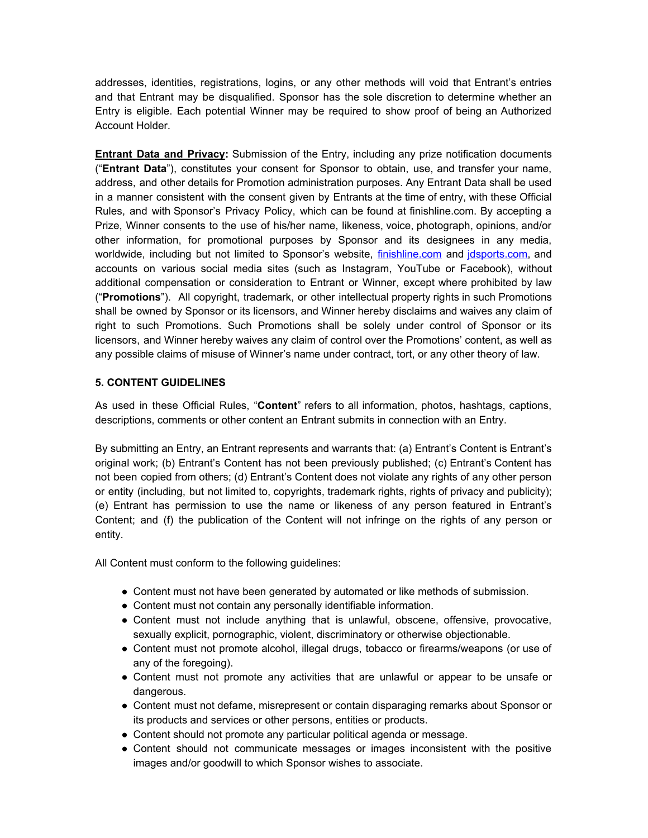addresses, identities, registrations, logins, or any other methods will void that Entrant's entries and that Entrant may be disqualified. Sponsor has the sole discretion to determine whether an Entry is eligible. Each potential Winner may be required to show proof of being an Authorized Account Holder.

**Entrant Data and Privacy:** Submission of the Entry, including any prize notification documents ("**Entrant Data**"), constitutes your consent for Sponsor to obtain, use, and transfer your name, address, and other details for Promotion administration purposes. Any Entrant Data shall be used in a manner consistent with the consent given by Entrants at the time of entry, with these Official Rules, and with Sponsor's Privacy Policy, which can be found at finishline.com. By accepting a Prize, Winner consents to the use of his/her name, likeness, voice, photograph, opinions, and/or other information, for promotional purposes by Sponsor and its designees in any media, worldwide, including but not limited to Sponsor's website, [finishline.com](http://finishline.com/) and [jdsports.com,](http://www.jdsports.com/) and accounts on various social media sites (such as Instagram, YouTube or Facebook), without additional compensation or consideration to Entrant or Winner, except where prohibited by law ("**Promotions**"). All copyright, trademark, or other intellectual property rights in such Promotions shall be owned by Sponsor or its licensors, and Winner hereby disclaims and waives any claim of right to such Promotions. Such Promotions shall be solely under control of Sponsor or its licensors, and Winner hereby waives any claim of control over the Promotions' content, as well as any possible claims of misuse of Winner's name under contract, tort, or any other theory of law.

# **5. CONTENT GUIDELINES**

As used in these Official Rules, "**Content**" refers to all information, photos, hashtags, captions, descriptions, comments or other content an Entrant submits in connection with an Entry.

By submitting an Entry, an Entrant represents and warrants that: (a) Entrant's Content is Entrant's original work; (b) Entrant's Content has not been previously published; (c) Entrant's Content has not been copied from others; (d) Entrant's Content does not violate any rights of any other person or entity (including, but not limited to, copyrights, trademark rights, rights of privacy and publicity); (e) Entrant has permission to use the name or likeness of any person featured in Entrant's Content; and (f) the publication of the Content will not infringe on the rights of any person or entity.

All Content must conform to the following guidelines:

- Content must not have been generated by automated or like methods of submission.
- Content must not contain any personally identifiable information.
- Content must not include anything that is unlawful, obscene, offensive, provocative, sexually explicit, pornographic, violent, discriminatory or otherwise objectionable.
- Content must not promote alcohol, illegal drugs, tobacco or firearms/weapons (or use of any of the foregoing).
- Content must not promote any activities that are unlawful or appear to be unsafe or dangerous.
- Content must not defame, misrepresent or contain disparaging remarks about Sponsor or its products and services or other persons, entities or products.
- Content should not promote any particular political agenda or message.
- Content should not communicate messages or images inconsistent with the positive images and/or goodwill to which Sponsor wishes to associate.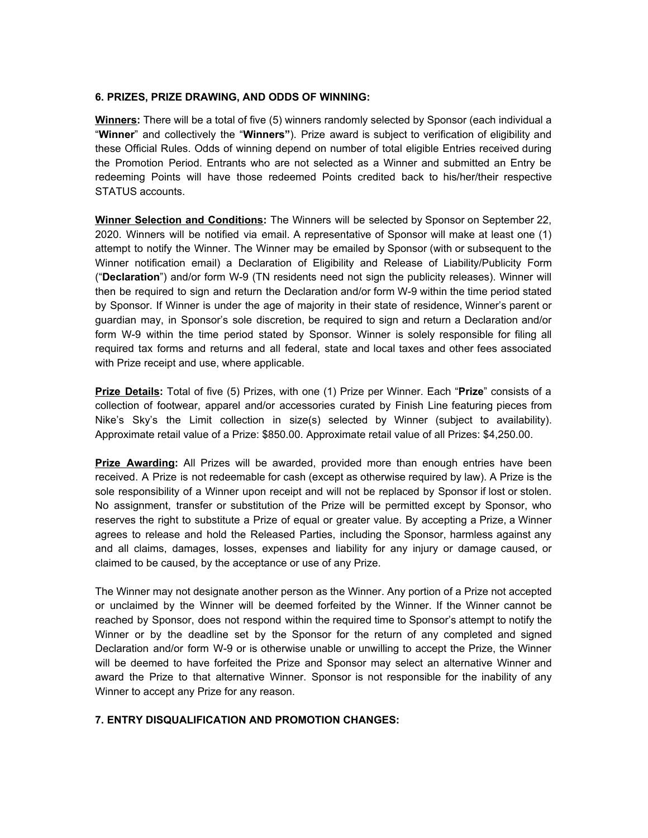### **6. PRIZES, PRIZE DRAWING, AND ODDS OF WINNING:**

**Winners:** There will be a total of five (5) winners randomly selected by Sponsor (each individual a "**Winner**" and collectively the "**Winners"**). Prize award is subject to verification of eligibility and these Official Rules. Odds of winning depend on number of total eligible Entries received during the Promotion Period. Entrants who are not selected as a Winner and submitted an Entry be redeeming Points will have those redeemed Points credited back to his/her/their respective STATUS accounts.

**Winner Selection and Conditions:** The Winners will be selected by Sponsor on September 22, 2020. Winners will be notified via email. A representative of Sponsor will make at least one (1) attempt to notify the Winner. The Winner may be emailed by Sponsor (with or subsequent to the Winner notification email) a Declaration of Eligibility and Release of Liability/Publicity Form ("**Declaration**") and/or form W-9 (TN residents need not sign the publicity releases). Winner will then be required to sign and return the Declaration and/or form W-9 within the time period stated by Sponsor. If Winner is under the age of majority in their state of residence, Winner's parent or guardian may, in Sponsor's sole discretion, be required to sign and return a Declaration and/or form W-9 within the time period stated by Sponsor. Winner is solely responsible for filing all required tax forms and returns and all federal, state and local taxes and other fees associated with Prize receipt and use, where applicable.

**Prize Details:** Total of five (5) Prizes, with one (1) Prize per Winner. Each "**Prize**" consists of a collection of footwear, apparel and/or accessories curated by Finish Line featuring pieces from Nike's Sky's the Limit collection in size(s) selected by Winner (subject to availability). Approximate retail value of a Prize: \$850.00. Approximate retail value of all Prizes: \$4,250.00.

**Prize Awarding:** All Prizes will be awarded, provided more than enough entries have been received. A Prize is not redeemable for cash (except as otherwise required by law). A Prize is the sole responsibility of a Winner upon receipt and will not be replaced by Sponsor if lost or stolen. No assignment, transfer or substitution of the Prize will be permitted except by Sponsor, who reserves the right to substitute a Prize of equal or greater value. By accepting a Prize, a Winner agrees to release and hold the Released Parties, including the Sponsor, harmless against any and all claims, damages, losses, expenses and liability for any injury or damage caused, or claimed to be caused, by the acceptance or use of any Prize.

The Winner may not designate another person as the Winner. Any portion of a Prize not accepted or unclaimed by the Winner will be deemed forfeited by the Winner. If the Winner cannot be reached by Sponsor, does not respond within the required time to Sponsor's attempt to notify the Winner or by the deadline set by the Sponsor for the return of any completed and signed Declaration and/or form W-9 or is otherwise unable or unwilling to accept the Prize, the Winner will be deemed to have forfeited the Prize and Sponsor may select an alternative Winner and award the Prize to that alternative Winner. Sponsor is not responsible for the inability of any Winner to accept any Prize for any reason.

#### **7. ENTRY DISQUALIFICATION AND PROMOTION CHANGES:**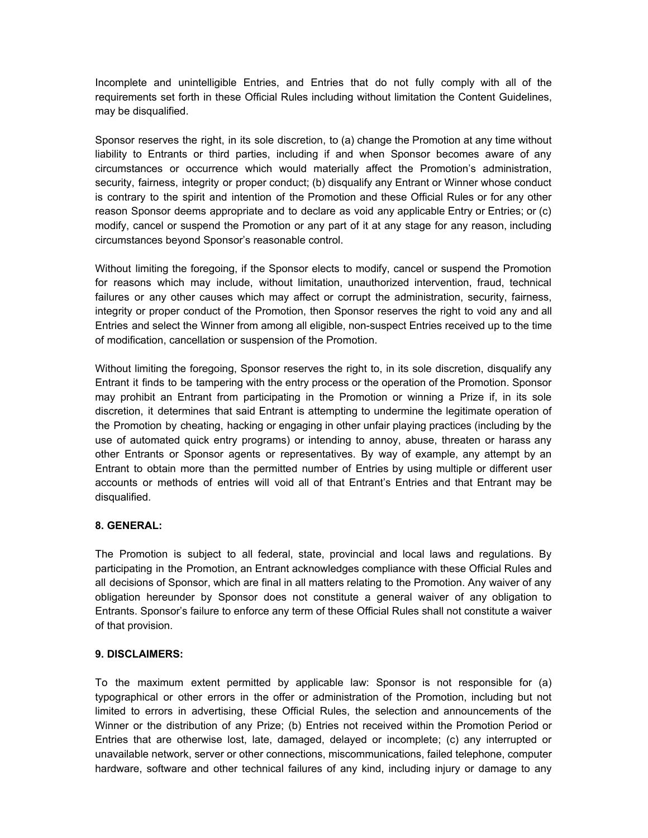Incomplete and unintelligible Entries, and Entries that do not fully comply with all of the requirements set forth in these Official Rules including without limitation the Content Guidelines, may be disqualified.

Sponsor reserves the right, in its sole discretion, to (a) change the Promotion at any time without liability to Entrants or third parties, including if and when Sponsor becomes aware of any circumstances or occurrence which would materially affect the Promotion's administration, security, fairness, integrity or proper conduct; (b) disqualify any Entrant or Winner whose conduct is contrary to the spirit and intention of the Promotion and these Official Rules or for any other reason Sponsor deems appropriate and to declare as void any applicable Entry or Entries; or (c) modify, cancel or suspend the Promotion or any part of it at any stage for any reason, including circumstances beyond Sponsor's reasonable control.

Without limiting the foregoing, if the Sponsor elects to modify, cancel or suspend the Promotion for reasons which may include, without limitation, unauthorized intervention, fraud, technical failures or any other causes which may affect or corrupt the administration, security, fairness, integrity or proper conduct of the Promotion, then Sponsor reserves the right to void any and all Entries and select the Winner from among all eligible, non-suspect Entries received up to the time of modification, cancellation or suspension of the Promotion.

Without limiting the foregoing, Sponsor reserves the right to, in its sole discretion, disqualify any Entrant it finds to be tampering with the entry process or the operation of the Promotion. Sponsor may prohibit an Entrant from participating in the Promotion or winning a Prize if, in its sole discretion, it determines that said Entrant is attempting to undermine the legitimate operation of the Promotion by cheating, hacking or engaging in other unfair playing practices (including by the use of automated quick entry programs) or intending to annoy, abuse, threaten or harass any other Entrants or Sponsor agents or representatives. By way of example, any attempt by an Entrant to obtain more than the permitted number of Entries by using multiple or different user accounts or methods of entries will void all of that Entrant's Entries and that Entrant may be disqualified.

# **8. GENERAL:**

The Promotion is subject to all federal, state, provincial and local laws and regulations. By participating in the Promotion, an Entrant acknowledges compliance with these Official Rules and all decisions of Sponsor, which are final in all matters relating to the Promotion. Any waiver of any obligation hereunder by Sponsor does not constitute a general waiver of any obligation to Entrants. Sponsor's failure to enforce any term of these Official Rules shall not constitute a waiver of that provision.

# **9. DISCLAIMERS:**

To the maximum extent permitted by applicable law: Sponsor is not responsible for (a) typographical or other errors in the offer or administration of the Promotion, including but not limited to errors in advertising, these Official Rules, the selection and announcements of the Winner or the distribution of any Prize; (b) Entries not received within the Promotion Period or Entries that are otherwise lost, late, damaged, delayed or incomplete; (c) any interrupted or unavailable network, server or other connections, miscommunications, failed telephone, computer hardware, software and other technical failures of any kind, including injury or damage to any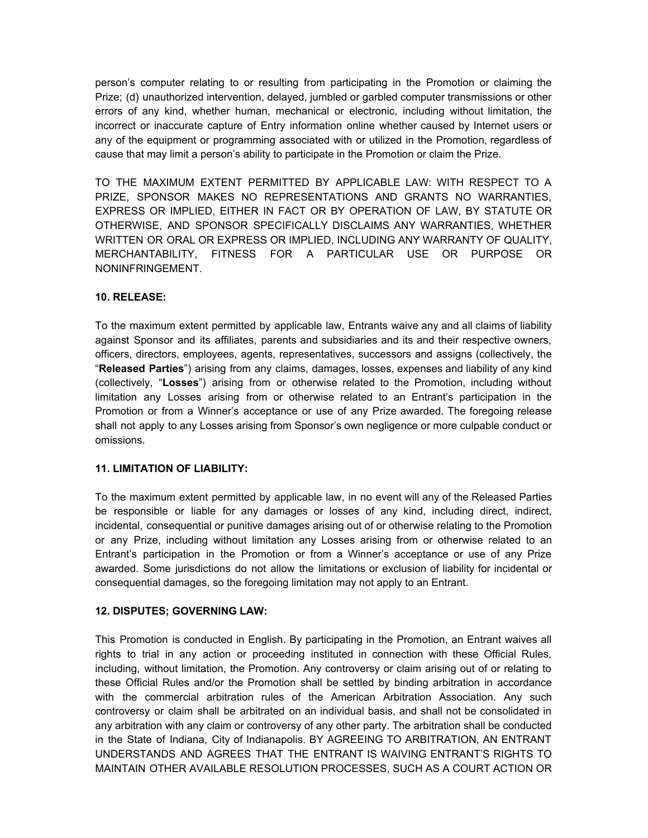person's computer relating to or resulting from participating in the Promotion or claiming the Prize; (d) unauthorized intervention, delayed, jumbled or garbled computer transmissions or other errors of any kind, whether human, mechanical or electronic, including without limitation, the incorrect or inaccurate capture of Entry information online whether caused by Internet users or any of the equipment or programming associated with or utilized in the Promotion, regardless of cause that may limit a person's ability to participate in the Promotion or claim the Prize.

TO THE MAXIMUM EXTENT PERMITTED BY APPLICABLE LAW: WITH RESPECT TO A PRIZE, SPONSOR MAKES NO REPRESENTATIONS AND GRANTS NO WARRANTIES, EXPRESS OR IMPLIED, EITHER IN FACT OR BY OPERATION OF LAW, BY STATUTE OR OTHERWISE, AND SPONSOR SPECIFICALLY DISCLAIMS ANY WARRANTIES, WHETHER WRITTEN OR ORAL OR EXPRESS OR IMPLIED, INCLUDING ANY WARRANTY OF QUALITY, MERCHANTABILITY, FITNESS FOR A PARTICULAR USE OR PURPOSE OR NONINFRINGEMENT.

# **10. RELEASE:**

To the maximum extent permitted by applicable law, Entrants waive any and all claims of liability against Sponsor and its affiliates, parents and subsidiaries and its and their respective owners, officers, directors, employees, agents, representatives, successors and assigns (collectively, the "**Released Parties**") arising from any claims, damages, losses, expenses and liability of any kind (collectively, "**Losses**") arising from or otherwise related to the Promotion, including without limitation any Losses arising from or otherwise related to an Entrant's participation in the Promotion or from a Winner's acceptance or use of any Prize awarded. The foregoing release shall not apply to any Losses arising from Sponsor's own negligence or more culpable conduct or omissions.

### **11. LIMITATION OF LIABILITY:**

To the maximum extent permitted by applicable law, in no event will any of the Released Parties be responsible or liable for any damages or losses of any kind, including direct, indirect, incidental, consequential or punitive damages arising out of or otherwise relating to the Promotion or any Prize, including without limitation any Losses arising from or otherwise related to an Entrant's participation in the Promotion or from a Winner's acceptance or use of any Prize awarded. Some jurisdictions do not allow the limitations or exclusion of liability for incidental or consequential damages, so the foregoing limitation may not apply to an Entrant.

#### **12. DISPUTES; GOVERNING LAW:**

This Promotion is conducted in English. By participating in the Promotion, an Entrant waives all rights to trial in any action or proceeding instituted in connection with these Official Rules, including, without limitation, the Promotion. Any controversy or claim arising out of or relating to these Official Rules and/or the Promotion shall be settled by binding arbitration in accordance with the commercial arbitration rules of the American Arbitration Association. Any such controversy or claim shall be arbitrated on an individual basis, and shall not be consolidated in any arbitration with any claim or controversy of any other party. The arbitration shall be conducted in the State of Indiana, City of Indianapolis. BY AGREEING TO ARBITRATION, AN ENTRANT UNDERSTANDS AND AGREES THAT THE ENTRANT IS WAIVING ENTRANT'S RIGHTS TO MAINTAIN OTHER AVAILABLE RESOLUTION PROCESSES, SUCH AS A COURT ACTION OR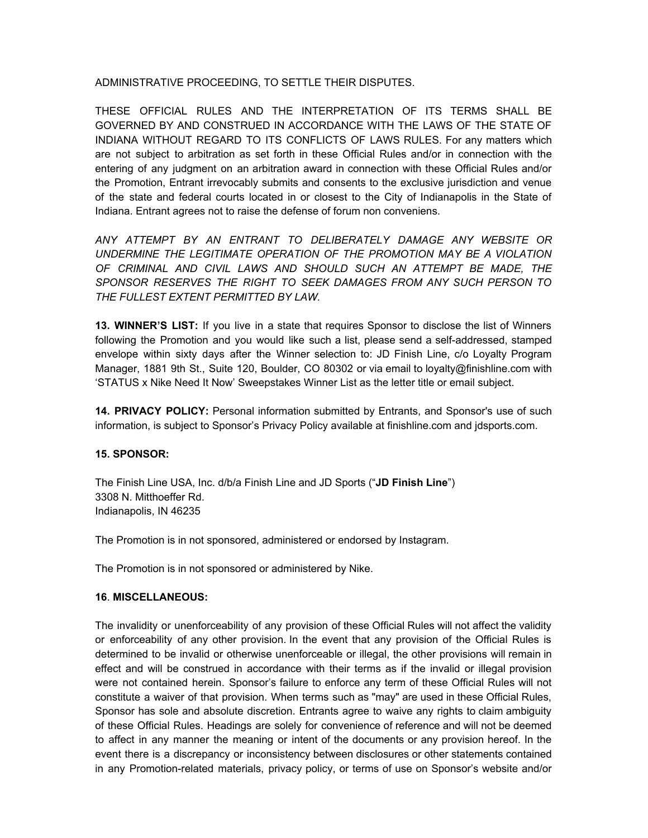ADMINISTRATIVE PROCEEDING, TO SETTLE THEIR DISPUTES.

THESE OFFICIAL RULES AND THE INTERPRETATION OF ITS TERMS SHALL BE GOVERNED BY AND CONSTRUED IN ACCORDANCE WITH THE LAWS OF THE STATE OF INDIANA WITHOUT REGARD TO ITS CONFLICTS OF LAWS RULES. For any matters which are not subject to arbitration as set forth in these Official Rules and/or in connection with the entering of any judgment on an arbitration award in connection with these Official Rules and/or the Promotion, Entrant irrevocably submits and consents to the exclusive jurisdiction and venue of the state and federal courts located in or closest to the City of Indianapolis in the State of Indiana. Entrant agrees not to raise the defense of forum non conveniens.

*ANY ATTEMPT BY AN ENTRANT TO DELIBERATELY DAMAGE ANY WEBSITE OR UNDERMINE THE LEGITIMATE OPERATION OF THE PROMOTION MAY BE A VIOLATION OF CRIMINAL AND CIVIL LAWS AND SHOULD SUCH AN ATTEMPT BE MADE, THE SPONSOR RESERVES THE RIGHT TO SEEK DAMAGES FROM ANY SUCH PERSON TO THE FULLEST EXTENT PERMITTED BY LAW.*

**13. WINNER'S LIST:** If you live in a state that requires Sponsor to disclose the list of Winners following the Promotion and you would like such a list, please send a self-addressed, stamped envelope within sixty days after the Winner selection to: JD Finish Line, c/o Loyalty Program Manager, 1881 9th St., Suite 120, Boulder, CO 80302 or via email to loyalty@finishline.com with 'STATUS x Nike Need It Now' Sweepstakes Winner List as the letter title or email subject.

**14. PRIVACY POLICY:** Personal information submitted by Entrants, and Sponsor's use of such information, is subject to Sponsor's Privacy Policy available at finishline.com and jdsports.com.

#### **15. SPONSOR:**

The Finish Line USA, Inc. d/b/a Finish Line and JD Sports ("**JD Finish Line**") 3308 N. Mitthoeffer Rd. Indianapolis, IN 46235

The Promotion is in not sponsored, administered or endorsed by Instagram.

The Promotion is in not sponsored or administered by Nike.

#### **16**. **MISCELLANEOUS:**

The invalidity or unenforceability of any provision of these Official Rules will not affect the validity or enforceability of any other provision. In the event that any provision of the Official Rules is determined to be invalid or otherwise unenforceable or illegal, the other provisions will remain in effect and will be construed in accordance with their terms as if the invalid or illegal provision were not contained herein. Sponsor's failure to enforce any term of these Official Rules will not constitute a waiver of that provision. When terms such as "may" are used in these Official Rules, Sponsor has sole and absolute discretion. Entrants agree to waive any rights to claim ambiguity of these Official Rules. Headings are solely for convenience of reference and will not be deemed to affect in any manner the meaning or intent of the documents or any provision hereof. In the event there is a discrepancy or inconsistency between disclosures or other statements contained in any Promotion-related materials, privacy policy, or terms of use on Sponsor's website and/or